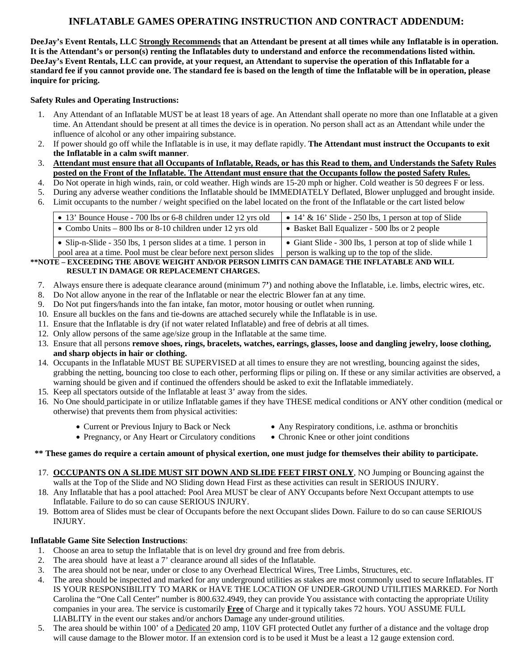# **INFLATABLE GAMES OPERATING INSTRUCTION AND CONTRACT ADDENDUM:**

**DeeJay's Event Rentals, LLC Strongly Recommends that an Attendant be present at all times while any Inflatable is in operation. It is the Attendant's or person(s) renting the Inflatables duty to understand and enforce the recommendations listed within. DeeJay's Event Rentals, LLC can provide, at your request, an Attendant to supervise the operation of this Inflatable for a standard fee if you cannot provide one. The standard fee is based on the length of time the Inflatable will be in operation, please inquire for pricing.** 

### **Safety Rules and Operating Instructions:**

- 1. Any Attendant of an Inflatable MUST be at least 18 years of age. An Attendant shall operate no more than one Inflatable at a given time. An Attendant should be present at all times the device is in operation. No person shall act as an Attendant while under the influence of alcohol or any other impairing substance.
- 2. If power should go off while the Inflatable is in use, it may deflate rapidly. **The Attendant must instruct the Occupants to exit the Inflatable in a calm swift manner**.
- 3. **Attendant must ensure that all Occupants of Inflatable, Reads, or has this Read to them, and Understands the Safety Rules posted on the Front of the Inflatable. The Attendant must ensure that the Occupants follow the posted Safety Rules.**
- 4. Do Not operate in high winds, rain, or cold weather. High winds are 15-20 mph or higher. Cold weather is 50 degrees F or less.
- 5. During any adverse weather conditions the Inflatable should be IMMEDIATELY Deflated, Blower unplugged and brought inside.
- 6. Limit occupants to the number / weight specified on the label located on the front of the Inflatable or the cart listed below

| • 13' Bounce House - 700 lbs or 6-8 children under 12 yrs old     | $\bullet$ 14' & 16' Slide - 250 lbs, 1 person at top of Slide |
|-------------------------------------------------------------------|---------------------------------------------------------------|
| • Combo Units $-800$ lbs or 8-10 children under 12 yrs old        | • Basket Ball Equalizer - 500 lbs or 2 people                 |
| • Slip-n-Slide - 350 lbs, 1 person slides at a time. 1 person in  | • Giant Slide - 300 lbs, 1 person at top of slide while 1     |
| pool area at a time. Pool must be clear before next person slides | person is walking up to the top of the slide.                 |

#### **\*\*NOTE – EXCEEDING THE ABOVE WEIGHT AND/OR PERSON LIMITS CAN DAMAGE THE INFLATABLE AND WILL RESULT IN DAMAGE OR REPLACEMENT CHARGES.**

- 7. Always ensure there is adequate clearance around (minimum 7**'**) and nothing above the Inflatable, i.e. limbs, electric wires, etc.
- 8. Do Not allow anyone in the rear of the Inflatable or near the electric Blower fan at any time.
- 9. Do Not put fingers/hands into the fan intake, fan motor, motor housing or outlet when running.
- 10. Ensure all buckles on the fans and tie-downs are attached securely while the Inflatable is in use.
- 11. Ensure that the Inflatable is dry (if not water related Inflatable) and free of debris at all times.
- 12. Only allow persons of the same age/size group in the Inflatable at the same time.
- 13. Ensure that all persons **remove shoes, rings, bracelets, watches, earrings, glasses, loose and dangling jewelry, loose clothing, and sharp objects in hair or clothing.**
- 14. Occupants in the Inflatable MUST BE SUPERVISED at all times to ensure they are not wrestling, bouncing against the sides, grabbing the netting, bouncing too close to each other, performing flips or piling on. If these or any similar activities are observed, a warning should be given and if continued the offenders should be asked to exit the Inflatable immediately.
- 15. Keep all spectators outside of the Inflatable at least 3' away from the sides.
- 16. No One should participate in or utilize Inflatable games if they have THESE medical conditions or ANY other condition (medical or otherwise) that prevents them from physical activities:
	-
	- Current or Previous Injury to Back or Neck Any Respiratory conditions, i.e. asthma or bronchitis
	- Pregnancy, or Any Heart or Circulatory conditions Chronic Knee or other joint conditions
- 

## **\*\* These games do require a certain amount of physical exertion, one must judge for themselves their ability to participate.**

- 17. **OCCUPANTS ON A SLIDE MUST SIT DOWN AND SLIDE FEET FIRST ONLY**, NO Jumping or Bouncing against the walls at the Top of the Slide and NO Sliding down Head First as these activities can result in SERIOUS INJURY.
- 18. Any Inflatable that has a pool attached: Pool Area MUST be clear of ANY Occupants before Next Occupant attempts to use Inflatable. Failure to do so can cause SERIOUS INJURY.
- 19. Bottom area of Slides must be clear of Occupants before the next Occupant slides Down. Failure to do so can cause SERIOUS INJURY.

#### **Inflatable Game Site Selection Instructions**:

- 1. Choose an area to setup the Inflatable that is on level dry ground and free from debris.
- 2. The area should have at least a 7' clearance around all sides of the Inflatable.
- 3. The area should not be near, under or close to any Overhead Electrical Wires, Tree Limbs, Structures, etc.
- 4. The area should be inspected and marked for any underground utilities as stakes are most commonly used to secure Inflatables. IT IS YOUR RESPONSIBILITY TO MARK or HAVE THE LOCATION OF UNDER-GROUND UTILITIES MARKED. For North Carolina the "One Call Center" number is 800.632.4949, they can provide You assistance with contacting the appropriate Utility companies in your area. The service is customarily **Free** of Charge and it typically takes 72 hours. YOU ASSUME FULL LIABLITY in the event our stakes and/or anchors Damage any under-ground utilities.
- 5. The area should be within 100' of a Dedicated 20 amp, 110V GFI protected Outlet any further of a distance and the voltage drop will cause damage to the Blower motor. If an extension cord is to be used it Must be a least a 12 gauge extension cord.